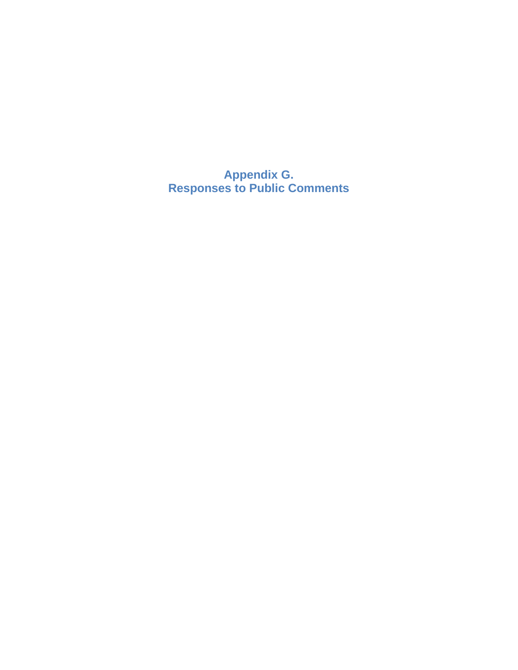**Appendix G. Responses to Public Comments**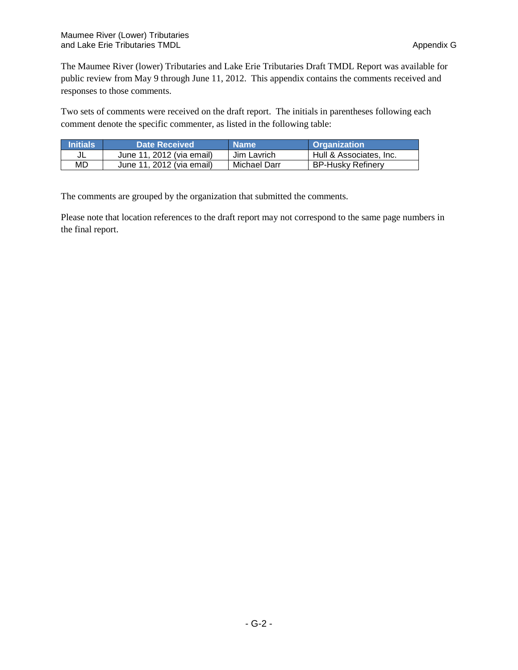The Maumee River (lower) Tributaries and Lake Erie Tributaries Draft TMDL Report was available for public review from May 9 through June 11, 2012. This appendix contains the comments received and responses to those comments.

Two sets of comments were received on the draft report. The initials in parentheses following each comment denote the specific commenter, as listed in the following table:

| <b>Initials</b> | <b>Date Received</b>      | <b>Name</b>  | <b>Organization</b>      |
|-----------------|---------------------------|--------------|--------------------------|
| JL              | June 11, 2012 (via email) | Jim Lavrich  | Hull & Associates, Inc.  |
| MD              | June 11, 2012 (via email) | Michael Darr | <b>BP-Husky Refinery</b> |

The comments are grouped by the organization that submitted the comments.

Please note that location references to the draft report may not correspond to the same page numbers in the final report.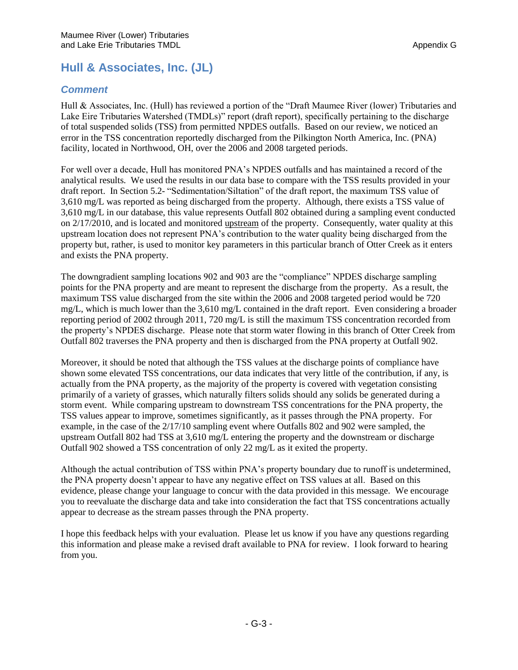# **Hull & Associates, Inc. (JL)**

## *Comment*

Hull & Associates, Inc. (Hull) has reviewed a portion of the "Draft Maumee River (lower) Tributaries and Lake Eire Tributaries Watershed (TMDLs)" report (draft report), specifically pertaining to the discharge of total suspended solids (TSS) from permitted NPDES outfalls. Based on our review, we noticed an error in the TSS concentration reportedly discharged from the Pilkington North America, Inc. (PNA) facility, located in Northwood, OH, over the 2006 and 2008 targeted periods.

For well over a decade, Hull has monitored PNA's NPDES outfalls and has maintained a record of the analytical results. We used the results in our data base to compare with the TSS results provided in your draft report. In Section 5.2- "Sedimentation/Siltation" of the draft report, the maximum TSS value of 3,610 mg/L was reported as being discharged from the property. Although, there exists a TSS value of 3,610 mg/L in our database, this value represents Outfall 802 obtained during a sampling event conducted on 2/17/2010, and is located and monitored upstream of the property. Consequently, water quality at this upstream location does not represent PNA's contribution to the water quality being discharged from the property but, rather, is used to monitor key parameters in this particular branch of Otter Creek as it enters and exists the PNA property.

The downgradient sampling locations 902 and 903 are the "compliance" NPDES discharge sampling points for the PNA property and are meant to represent the discharge from the property. As a result, the maximum TSS value discharged from the site within the 2006 and 2008 targeted period would be 720 mg/L, which is much lower than the 3,610 mg/L contained in the draft report. Even considering a broader reporting period of 2002 through 2011, 720 mg/L is still the maximum TSS concentration recorded from the property's NPDES discharge. Please note that storm water flowing in this branch of Otter Creek from Outfall 802 traverses the PNA property and then is discharged from the PNA property at Outfall 902.

Moreover, it should be noted that although the TSS values at the discharge points of compliance have shown some elevated TSS concentrations, our data indicates that very little of the contribution, if any, is actually from the PNA property, as the majority of the property is covered with vegetation consisting primarily of a variety of grasses, which naturally filters solids should any solids be generated during a storm event. While comparing upstream to downstream TSS concentrations for the PNA property, the TSS values appear to improve, sometimes significantly, as it passes through the PNA property. For example, in the case of the 2/17/10 sampling event where Outfalls 802 and 902 were sampled, the upstream Outfall 802 had TSS at 3,610 mg/L entering the property and the downstream or discharge Outfall 902 showed a TSS concentration of only 22 mg/L as it exited the property.

Although the actual contribution of TSS within PNA's property boundary due to runoff is undetermined, the PNA property doesn't appear to have any negative effect on TSS values at all. Based on this evidence, please change your language to concur with the data provided in this message. We encourage you to reevaluate the discharge data and take into consideration the fact that TSS concentrations actually appear to decrease as the stream passes through the PNA property.

I hope this feedback helps with your evaluation. Please let us know if you have any questions regarding this information and please make a revised draft available to PNA for review. I look forward to hearing from you.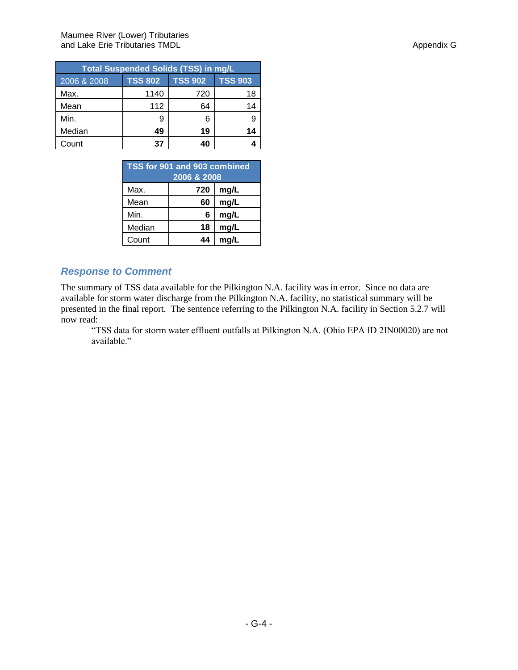| <b>Total Suspended Solids (TSS) in mg/L</b> |                |                |                |  |  |  |
|---------------------------------------------|----------------|----------------|----------------|--|--|--|
| 2006 & 2008                                 | <b>TSS 802</b> | <b>TSS 902</b> | <b>TSS 903</b> |  |  |  |
| Max.                                        | 1140           | 720            | 18             |  |  |  |
| Mean                                        | 112            | 64             | 14             |  |  |  |
| Min.                                        | 9              |                |                |  |  |  |
| Median                                      | 49             | 19             | 14             |  |  |  |
| Count                                       | 37             | 40             |                |  |  |  |

| TSS for 901 and 903 combined<br>2006 & 2008 |     |      |  |  |
|---------------------------------------------|-----|------|--|--|
| Max.                                        | 720 | mg/L |  |  |
| Mean                                        | 60  | mg/L |  |  |
| Min.                                        | 6   | mg/L |  |  |
| Median                                      | 18  | mg/L |  |  |
| Count                                       | 44  | ma/L |  |  |

## *Response to Comment*

The summary of TSS data available for the Pilkington N.A. facility was in error. Since no data are available for storm water discharge from the Pilkington N.A. facility, no statistical summary will be presented in the final report. The sentence referring to the Pilkington N.A. facility in Section 5.2.7 will now read:

"TSS data for storm water effluent outfalls at Pilkington N.A. (Ohio EPA ID 2IN00020) are not available."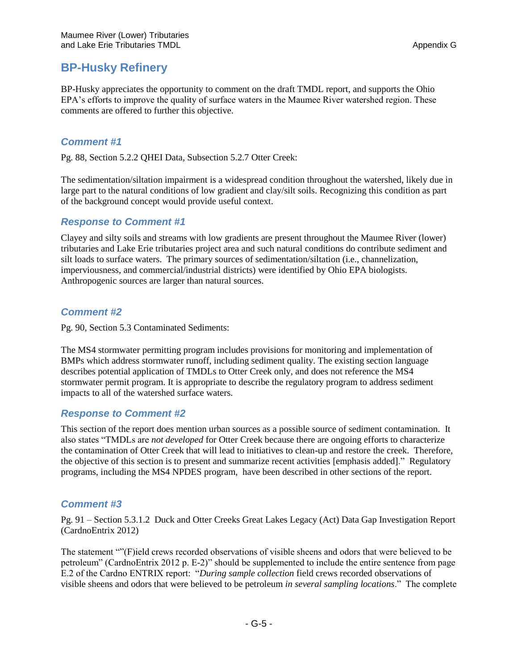## **BP-Husky Refinery**

BP-Husky appreciates the opportunity to comment on the draft TMDL report, and supports the Ohio EPA's efforts to improve the quality of surface waters in the Maumee River watershed region. These comments are offered to further this objective.

## *Comment #1*

Pg. 88, Section 5.2.2 QHEI Data, Subsection 5.2.7 Otter Creek:

The sedimentation/siltation impairment is a widespread condition throughout the watershed, likely due in large part to the natural conditions of low gradient and clay/silt soils. Recognizing this condition as part of the background concept would provide useful context.

#### *Response to Comment #1*

Clayey and silty soils and streams with low gradients are present throughout the Maumee River (lower) tributaries and Lake Erie tributaries project area and such natural conditions do contribute sediment and silt loads to surface waters. The primary sources of sedimentation/siltation (i.e., channelization, imperviousness, and commercial/industrial districts) were identified by Ohio EPA biologists. Anthropogenic sources are larger than natural sources.

#### *Comment #2*

Pg. 90, Section 5.3 Contaminated Sediments:

The MS4 stormwater permitting program includes provisions for monitoring and implementation of BMPs which address stormwater runoff, including sediment quality. The existing section language describes potential application of TMDLs to Otter Creek only, and does not reference the MS4 stormwater permit program. It is appropriate to describe the regulatory program to address sediment impacts to all of the watershed surface waters.

## *Response to Comment #2*

This section of the report does mention urban sources as a possible source of sediment contamination. It also states "TMDLs are *not developed* for Otter Creek because there are ongoing efforts to characterize the contamination of Otter Creek that will lead to initiatives to clean-up and restore the creek. Therefore, the objective of this section is to present and summarize recent activities [emphasis added]." Regulatory programs, including the MS4 NPDES program, have been described in other sections of the report.

## *Comment #3*

Pg. 91 – Section 5.3.1.2 Duck and Otter Creeks Great Lakes Legacy (Act) Data Gap Investigation Report (CardnoEntrix 2012)

The statement ""(F)ield crews recorded observations of visible sheens and odors that were believed to be petroleum" (CardnoEntrix 2012 p. E-2)" should be supplemented to include the entire sentence from page E.2 of the Cardno ENTRIX report: "*During sample collection* field crews recorded observations of visible sheens and odors that were believed to be petroleum *in several sampling locations*." The complete